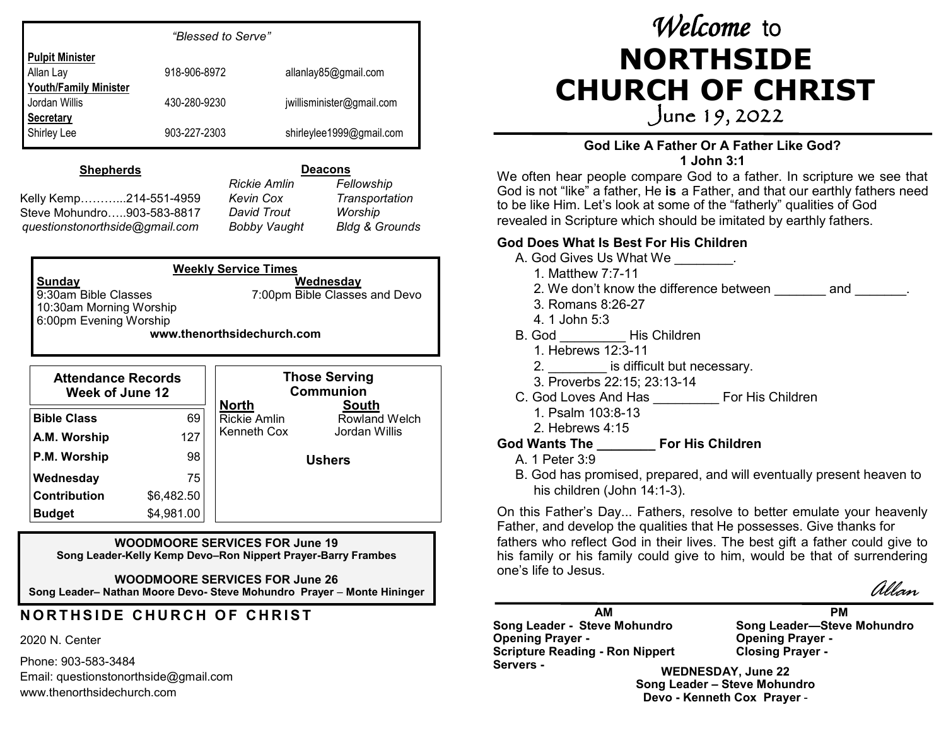|                              | "Blessed to Serve" |                           |
|------------------------------|--------------------|---------------------------|
| <b>Pulpit Minister</b>       |                    |                           |
| Allan Lay                    | 918-906-8972       | allanlay85@gmail.com      |
| <b>Youth/Family Minister</b> |                    |                           |
| Jordan Willis                | 430-280-9230       | jwillisminister@gmail.com |
| <b>Secretary</b>             |                    |                           |
| Shirley Lee                  | 903-227-2303       | shirleylee1999@gmail.com  |

#### **Shepherds**

Kelly Kemp………...214-551-4959 Steve Mohundro…..903-583-8817 *questionstonorthside@gmail.com*

**Deacons** *Rickie Amlin Fellowship Kevin Cox Transportation David Trout Worship Bobby Vaught Bldg & Grounds*

**Weekly Service Times Sunday Wednesday** 9:30am Bible Classes 7:00pm Bible Classes and Devo 10:30am Morning Worship 6:00pm Evening Worship **www.thenorthsidechurch.com**

| <b>Attendance Records</b><br><b>Week of June 12</b> |            | <b>Those Serving</b><br><b>Communion</b> |                                      |
|-----------------------------------------------------|------------|------------------------------------------|--------------------------------------|
| <b>Bible Class</b>                                  | 69         | <b>North</b><br><b>Rickie Amlin</b>      | <b>South</b><br><b>Rowland Welch</b> |
| A.M. Worship                                        | 127        | Kenneth Cox                              | Jordan Willis                        |
| P.M. Worship                                        | 98         | <b>Ushers</b>                            |                                      |
| Wednesday                                           | 75         |                                          |                                      |
| <b>Contribution</b>                                 | \$6,482.50 |                                          |                                      |
| <b>Budget</b>                                       | \$4,981.00 |                                          |                                      |

**WOODMOORE SERVICES FOR June 19 Song Leader-Kelly Kemp Devo–Ron Nippert Prayer-Barry Frambes**

**WOODMOORE SERVICES FOR June 26 Song Leader–** Nathan Moore Devo- Steve Mohundro Prayer – Monte Hininger  $\ell$  *Allan* 

## **NORTHSIDE CHURCH OF CHRIST**

#### 2020 N. Center

Phone: 903-583-3484 Email: questionstonorthside@gmail.com www.thenorthsidechurch.com

# *Welcome* to **NORTHSIDE CHURCH OF CHRIST**

June 19, 2022

#### **God Like A Father Or A Father Like God? 1 John 3:1**

We often hear people compare God to a father. In scripture we see that God is not "like" a father, He **is** a Father, and that our earthly fathers need to be like Him. Let's look at some of the "fatherly" qualities of God revealed in Scripture which should be imitated by earthly fathers.

#### **God Does What Is Best For His Children**

- A. God Gives Us What We  $\qquad \qquad$ .
	- 1. Matthew 7:7-11
	- 2. We don't know the difference between and  $\qquad \qquad$  .
	- 3. Romans 8:26-27
	- 4. 1 John 5:3
- B. God \_\_\_\_\_\_\_\_\_ His Children
	- 1. Hebrews 12:3-11
	- 2. **Exercise is difficult but necessary.**
	- 3. Proverbs 22:15; 23:13-14
- C. God Loves And Has **For His Children**  1. Psalm 103:8-13
	- 2. Hebrews 4:15

### **God Wants The \_\_\_\_\_\_\_\_ For His Children**

- A. 1 Peter 3:9
- B. God has promised, prepared, and will eventually present heaven to his children (John 14:1-3).

On this Father's Day... Fathers, resolve to better emulate your heavenly Father, and develop the qualities that He possesses. Give thanks for fathers who reflect God in their lives. The best gift a father could give to his family or his family could give to him, would be that of surrendering one's life to Jesus.



**AM Song Leader - Steve Mohundro Opening Prayer - Scripture Reading - Ron Nippert Servers -**

**PM Song Leader—Steve Mohundro Opening Prayer - Closing Prayer -**

**WEDNESDAY, June 22 Song Leader – Steve Mohundro Devo - Kenneth Cox Prayer** -